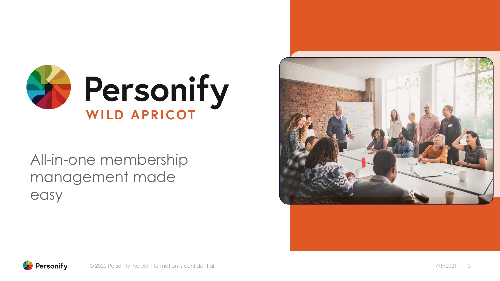

### All-in-one membership management made easy



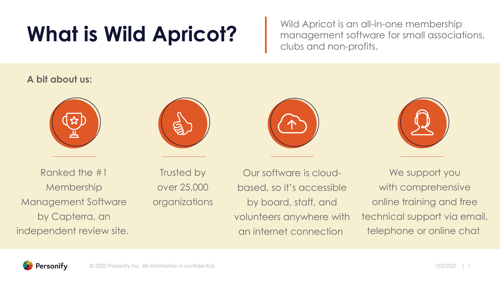# What is Wild Apricot? Wild Apricot is an all-in-one membership<br>management software for small association

management software for small associations, clubs and non-profits.

#### **A bit about us:**







Trusted by over 25,000 organizations

Our software is cloudbased, so it's accessible by board, staff, and volunteers anywhere with an internet connection

We support you with comprehensive online training and free technical support via email, telephone or online chat

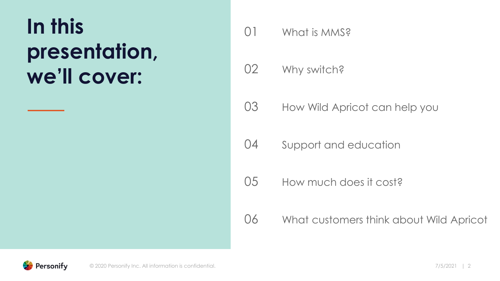## **In this presentation, we'll cover:**

- 01 What is MMS?
- 02 Why switch?
- 03 How Wild Apricot can help you
- 04 Support and education
- 05 How much does it cost?
- 06 What customers think about Wild Apricot

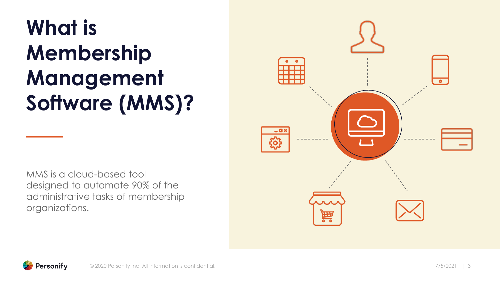# **What is Membership Management Software (MMS)?**



MMS is a cloud-based tool designed to automate 90% of the administrative tasks of membership organizations.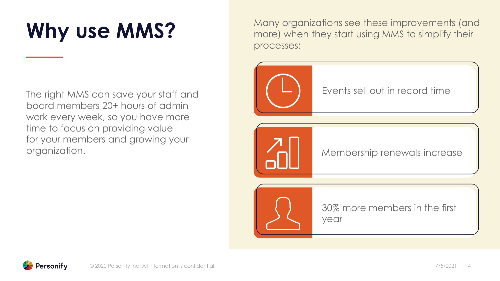# **Why use MMS?**

The right MMS can save your staff and board members 20+ hours of admin work every week, so you have more time to focus on providing value for your members and growing your organization.

Many organizations see these improvements (and more) when they start using MMS to simplify their processes:



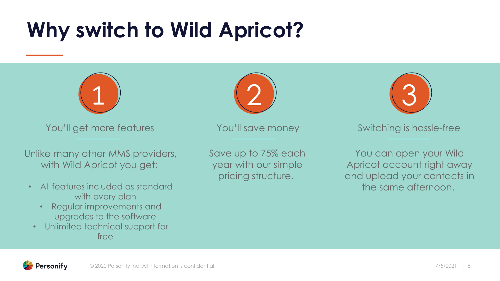### **Why switch to Wild Apricot?**



You'll get more features

Unlike many other MMS providers, with Wild Apricot you get:

- All features included as standard with every plan
	- Regular improvements and upgrades to the software
- Unlimited technical support for free

Save up to 75% each year with our simple pricing structure.

You'll save money

3

#### Switching is hassle-free

You can open your Wild Apricot account right away and upload your contacts in the same afternoon.

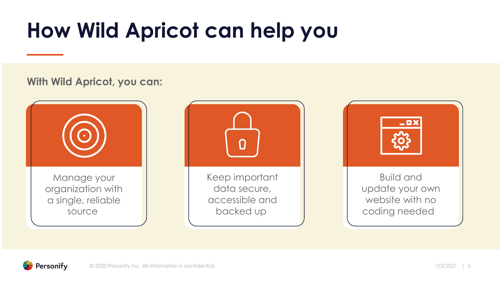# **How Wild Apricot can help you**

#### **With Wild Apricot, you can:**





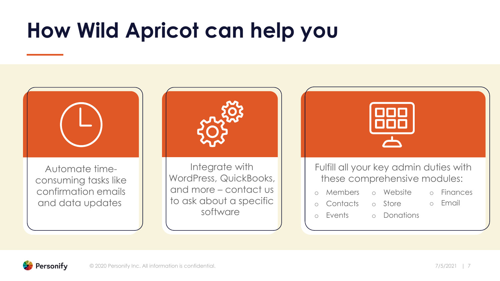### **How Wild Apricot can help you**



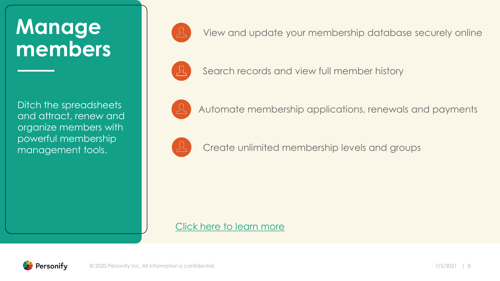### **Manage members**

Ditch the spreadsheets and attract, renew and organize members with powerful membership management tools.



View and update your membership database securely online



Search records and view full member history



Automate membership applications, renewals and payments



Create unlimited membership levels and groups

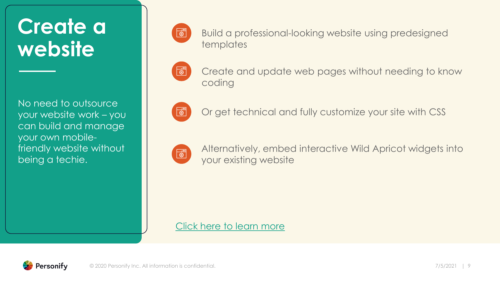### **Create a website**

No need to outsource your website work – you can build and manage your own mobilefriendly website without being a techie.



Build a professional-looking website using predesigned templates



Create and update web pages without needing to know coding



Or get technical and fully customize your site with CSS



Alternatively, embed interactive Wild Apricot widgets into your existing website

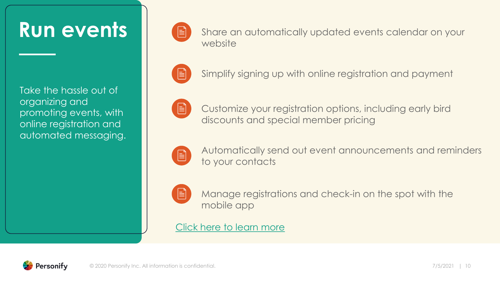### **Run events**

Take the hassle out of organizing and promoting events, with online registration and automated messaging.



Share an automatically updated events calendar on your website



Simplify signing up with online registration and payment



Customize your registration options, including early bird discounts and special member pricing



Automatically send out event announcements and reminders to your contacts



Manage registrations and check-in on the spot with the mobile app

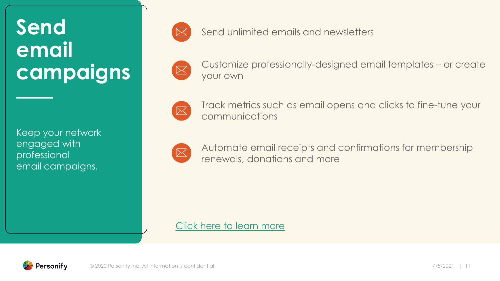### **Send email campaigns**

Keep your network engaged with professional email campaigns.



Send unlimited emails and newsletters



Customize professionally-designed email templates – or create your own



Track metrics such as email opens and clicks to fine-tune your communications



Automate email receipts and confirmations for membership renewals, donations and more

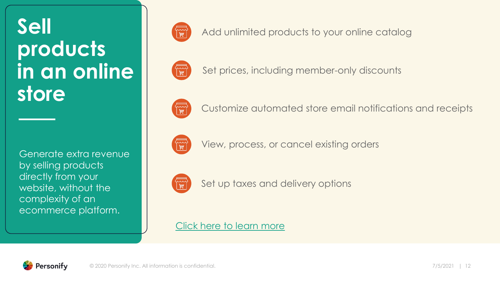### **Sell products in an online store**

Generate extra revenue by selling products directly from your website, without the complexity of an ecommerce platform.



Add unlimited products to your online catalog



Set prices, including member-only discounts



Customize automated store email notifications and receipts



View, process, or cancel existing orders



Set up taxes and delivery options

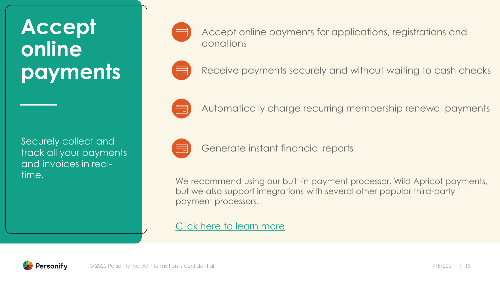### **Accept online payments**

Securely collect and track all your payments and invoices in realtime.

| <b>Contract Contract Contract Contract Contract Contract Contract Contract Contract Contract Contract Contract C</b> |
|----------------------------------------------------------------------------------------------------------------------|
| <b>Service Service</b>                                                                                               |

Accept online payments for applications, registrations and donations



Receive payments securely and without waiting to cash checks



Automatically charge recurring membership renewal payments



Generate instant financial reports

We recommend using our built-in payment processor, Wild Apricot payments, but we also support integrations with several other popular third-party payment processors.

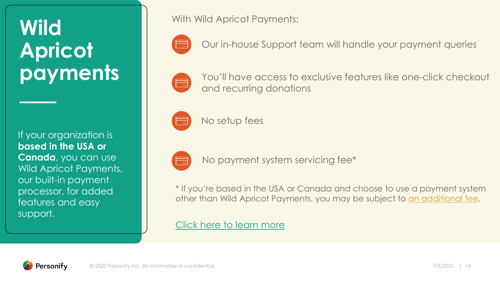### **Wild Apricot payments**

If your organization is **based in the USA or Canada**, you can use Wild Apricot Payments, our built-in payment processor, for added features and easy support.

With Wild Apricot Payments:



Our in-house Support team will handle your payment queries



You'll have access to exclusive features like one-click checkout and recurring donations



No setup fees



No payment system servicing fee\*

\* If you're based in the USA or Canada and choose to use a payment system other than Wild Apricot Payments, you may be subject to [an additional fee](https://www.wildapricot.com/payment-system-servicing-fee-2019?utm_source=board-pres&utm_medium=in-text&utm_campaign=slide-14).

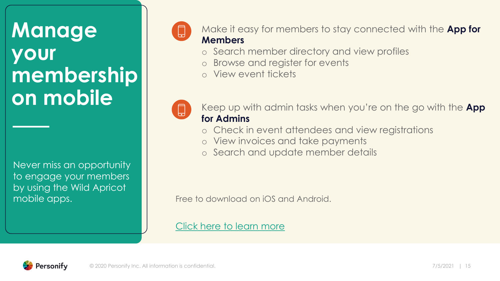### **Manage your membership on mobile**

Never miss an opportunity to engage your members by using the Wild Apricot



Make it easy for members to stay connected with the **App for Members**

- o Search member directory and view profiles
- Browse and register for events
- o View event tickets



Keep up with admin tasks when you're on the go with the **App for Admins**

- o Check in event attendees and view registrations
- o View invoices and take payments
- o Search and update member details

mobile apps. The state of the state of the state of the mobile apps.

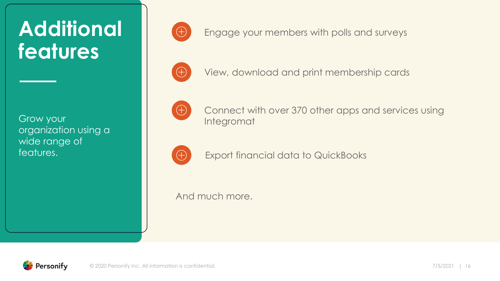### **Additional features**

Grow your organization using a wide range of features.



Engage your members with polls and surveys



View, download and print membership cards



Connect with over 370 other apps and services using Integromat



Export financial data to QuickBooks

And much more.

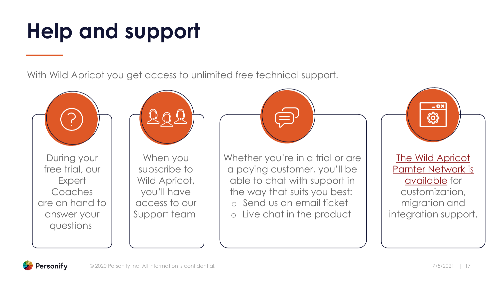# **Help and support**

With Wild Apricot you get access to unlimited free technical support.



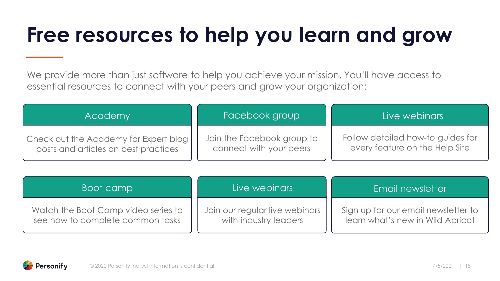# **Free resources to help you learn and grow**

We provide more than just software to help you achieve your mission. You'll have access to essential resources to connect with your peers and grow your organization:

| Academy                               | Facebook group             | Live webinars                     |
|---------------------------------------|----------------------------|-----------------------------------|
| Check out the Academy for Expert blog | Join the Facebook group to | Follow detailed how-to guides for |
| posts and articles on best practices  | connect with your peers    | every feature on the Help Site    |

| Boot camp                           | Live webinars                  | Email newsletter                    |
|-------------------------------------|--------------------------------|-------------------------------------|
| Watch the Boot Camp video series to | Join our regular live webinars | Sign up for our email newsletter to |
| see how to complete common tasks    | with industry leaders          | learn what's new in Wild Apricot    |

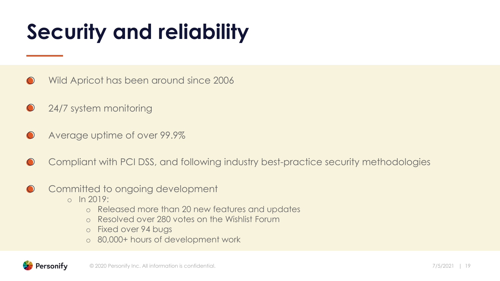# **Security and reliability**

- Wild Apricot has been around since 2006  $\left( \begin{array}{c} \end{array} \right)$
- 24/7 system monitoring  $\bigcirc$
- Average uptime of over 99.9%  $\bigodot$
- Compliant with PCI DSS, and following industry best-practice security methodologies  $\bigcirc$
- Committed to ongoing development  $\bigodot$ 
	- $o$  In 2019:
		- o Released more than 20 new features and updates
		- o Resolved over 280 votes on the Wishlist Forum
		- o Fixed over 94 bugs
		- o 80,000+ hours of development work

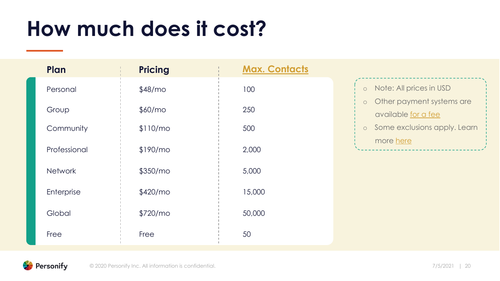### **How much does it cost?**

| Plan           | <b>Pricing</b>       | <b>Max. Contacts</b> |                                                             |
|----------------|----------------------|----------------------|-------------------------------------------------------------|
| Personal       | \$48/m <sub>o</sub>  | 100                  | Note: All prices in USD<br>$\circ$                          |
| Group          | \$60/m <sub>o</sub>  | 250                  | Other payment systems are<br>$\circ$<br>available for a fee |
| Community      | \$110/mol            | 500                  | Some exclusions apply. Learn<br>$\circ$                     |
| Professional   | \$190/m <sub>o</sub> | 2,000                | more here                                                   |
| <b>Network</b> | \$350/m <sub>o</sub> | 5,000                |                                                             |
| Enterprise     | \$420/m <sub>o</sub> | 15,000               |                                                             |
| Global         | \$720/m <sub>o</sub> | 50,000               |                                                             |
| Free           | Free                 | 50                   |                                                             |

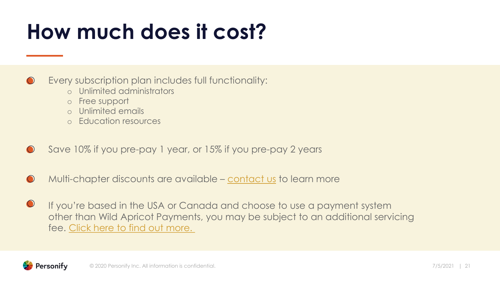### **How much does it cost?**

Every subscription plan includes full functionality:  $\bigcirc$ 

- o Unlimited administrators
- o Free support
- o Unlimited emails
- o Education resources
- Save 10% if you pre-pay 1 year, or 15% if you pre-pay 2 years
- Multi-chapter discounts are available [contact us](https://www.wildapricot.com/contact-us?utm_source=board-pres&utm_medium=in-text&utm_campaign=slide-19) to learn more  $\bigodot$
- $\bigcirc$ If you're based in the USA or Canada and choose to use a payment system other than Wild Apricot Payments, you may be subject to an additional servicing fee. Click here [to find out more.](https://www.wildapricot.com/payment-system-servicing-fee-2019)

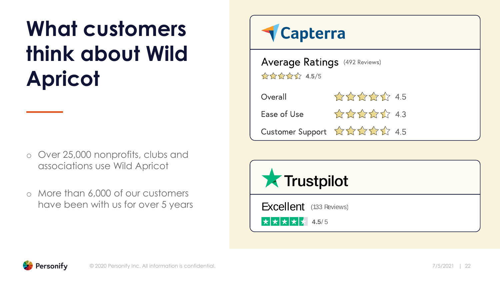# **What customers think about Wild Apricot**

- o Over 25,000 nonprofits, clubs and associations use Wild Apricot
- o More than 6,000 of our customers have been with us for over 5 years



**Average Ratings** (492 Reviews)  $\frac{1}{2}$   $\frac{1}{2}$   $\frac{1}{2}$   $\frac{1}{2}$   $\frac{1}{2}$   $\frac{1}{2}$   $\frac{1}{2}$   $\frac{1}{2}$   $\frac{1}{2}$   $\frac{1}{2}$   $\frac{1}{2}$   $\frac{1}{2}$   $\frac{1}{2}$   $\frac{1}{2}$   $\frac{1}{2}$   $\frac{1}{2}$   $\frac{1}{2}$   $\frac{1}{2}$   $\frac{1}{2}$   $\frac{1}{2}$   $\frac{1}{2}$   $\frac{1}{2}$ 

| Overall     | 22222 4.5                                                                 |
|-------------|---------------------------------------------------------------------------|
| Ease of Use | $\frac{1}{2}$ $\frac{1}{2}$ $\frac{1}{2}$ $\frac{1}{2}$ $\frac{1}{2}$ 4.3 |
|             | Customer Support AAAA 2 4.5                                               |



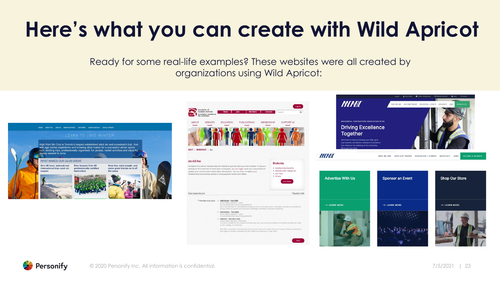# **Here's what you can create with Wild Apricot**

Ready for some real-life examples? These websites were all created by organizations using Wild Apricot:



ACA offers a student e-membership that includes electronic rather than print copie<br>Both types of student membership are limited to a maximum 3-year term.